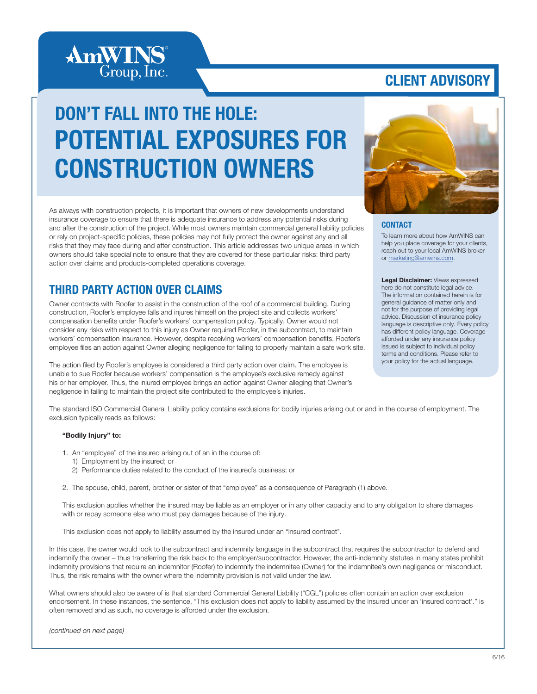

### CLIENT ADVISORY

# DON'T FALL INTO THE HOLE: POTENTIAL EXPOSURES FOR CONSTRUCTION OWNERS

As always with construction projects, it is important that owners of new developments understand insurance coverage to ensure that there is adequate insurance to address any potential risks during and after the construction of the project. While most owners maintain commercial general liability policies or rely on project-specific policies, these policies may not fully protect the owner against any and all risks that they may face during and after construction. This article addresses two unique areas in which owners should take special note to ensure that they are covered for these particular risks: third party action over claims and products-completed operations coverage.

### THIRD PARTY ACTION OVER CLAIMS

Owner contracts with Roofer to assist in the construction of the roof of a commercial building. During construction, Roofer's employee falls and injures himself on the project site and collects workers' compensation benefits under Roofer's workers' compensation policy. Typically, Owner would not consider any risks with respect to this injury as Owner required Roofer, in the subcontract, to maintain workers' compensation insurance. However, despite receiving workers' compensation benefits, Roofer's employee files an action against Owner alleging negligence for failing to properly maintain a safe work site.

The action filed by Roofer's employee is considered a third party action over claim. The employee is unable to sue Roofer because workers' compensation is the employee's exclusive remedy against his or her employer. Thus, the injured employee brings an action against Owner alleging that Owner's negligence in failing to maintain the project site contributed to the employee's injuries.



#### **CONTACT**

To learn more about how AmWINS can help you place coverage for your clients, reach out to your local AmWINS broker or marketing@amwins.com.

Legal Disclaimer: Views expressed here do not constitute legal advice. The information contained herein is for general guidance of matter only and not for the purpose of providing legal advice. Discussion of insurance policy language is descriptive only. Every policy has different policy language. Coverage afforded under any insurance policy issued is subject to individual policy terms and conditions. Please refer to your policy for the actual language.

The standard ISO Commercial General Liability policy contains exclusions for bodily injuries arising out or and in the course of employment. The exclusion typically reads as follows:

#### "Bodily Injury" to:

- 1. An "employee" of the insured arising out of an in the course of:
	- 1) Employment by the insured; or
	- 2) Performance duties related to the conduct of the insured's business; or

2. The spouse, child, parent, brother or sister of that "employee" as a consequence of Paragraph (1) above.

This exclusion applies whether the insured may be liable as an employer or in any other capacity and to any obligation to share damages with or repay someone else who must pay damages because of the injury.

This exclusion does not apply to liability assumed by the insured under an "insured contract".

In this case, the owner would look to the subcontract and indemnity language in the subcontract that requires the subcontractor to defend and indemnify the owner – thus transferring the risk back to the employer/subcontractor. However, the anti-indemnity statutes in many states prohibit indemnity provisions that require an indemnitor (Roofer) to indemnify the indemnitee (Owner) for the indemnitee's own negligence or misconduct. Thus, the risk remains with the owner where the indemnity provision is not valid under the law.

What owners should also be aware of is that standard Commercial General Liability ("CGL") policies often contain an action over exclusion endorsement. In these instances, the sentence, "This exclusion does not apply to liability assumed by the insured under an 'insured contract'." is often removed and as such, no coverage is afforded under the exclusion.

*(continued on next page)*